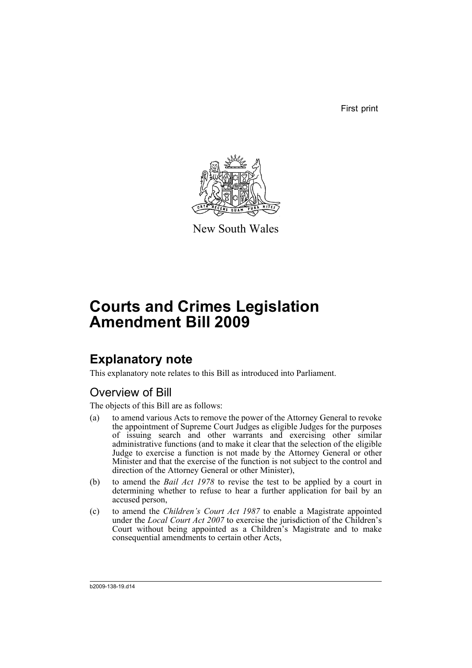First print



New South Wales

# **Courts and Crimes Legislation Amendment Bill 2009**

## **Explanatory note**

This explanatory note relates to this Bill as introduced into Parliament.

## Overview of Bill

The objects of this Bill are as follows:

- (a) to amend various Acts to remove the power of the Attorney General to revoke the appointment of Supreme Court Judges as eligible Judges for the purposes of issuing search and other warrants and exercising other similar administrative functions (and to make it clear that the selection of the eligible Judge to exercise a function is not made by the Attorney General or other Minister and that the exercise of the function is not subject to the control and direction of the Attorney General or other Minister),
- (b) to amend the *Bail Act 1978* to revise the test to be applied by a court in determining whether to refuse to hear a further application for bail by an accused person,
- (c) to amend the *Children's Court Act 1987* to enable a Magistrate appointed under the *Local Court Act 2007* to exercise the jurisdiction of the Children's Court without being appointed as a Children's Magistrate and to make consequential amendments to certain other Acts,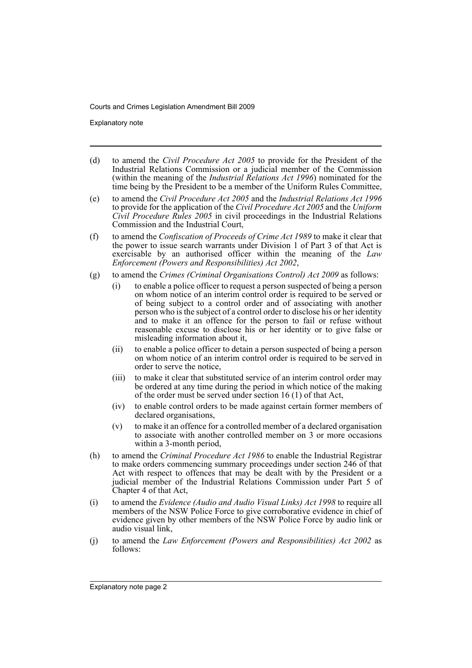Explanatory note

- (d) to amend the *Civil Procedure Act 2005* to provide for the President of the Industrial Relations Commission or a judicial member of the Commission (within the meaning of the *Industrial Relations Act 1996*) nominated for the time being by the President to be a member of the Uniform Rules Committee,
- (e) to amend the *Civil Procedure Act 2005* and the *Industrial Relations Act 1996* to provide for the application of the *Civil Procedure Act 2005* and the *Uniform Civil Procedure Rules 2005* in civil proceedings in the Industrial Relations Commission and the Industrial Court,
- (f) to amend the *Confiscation of Proceeds of Crime Act 1989* to make it clear that the power to issue search warrants under Division 1 of Part 3 of that Act is exercisable by an authorised officer within the meaning of the *Law Enforcement (Powers and Responsibilities) Act 2002*,
- (g) to amend the *Crimes (Criminal Organisations Control) Act 2009* as follows:
	- (i) to enable a police officer to request a person suspected of being a person on whom notice of an interim control order is required to be served or of being subject to a control order and of associating with another person who is the subject of a control order to disclose his or her identity and to make it an offence for the person to fail or refuse without reasonable excuse to disclose his or her identity or to give false or misleading information about it,
	- (ii) to enable a police officer to detain a person suspected of being a person on whom notice of an interim control order is required to be served in order to serve the notice,
	- (iii) to make it clear that substituted service of an interim control order may be ordered at any time during the period in which notice of the making of the order must be served under section 16 (1) of that Act,
	- (iv) to enable control orders to be made against certain former members of declared organisations,
	- (v) to make it an offence for a controlled member of a declared organisation to associate with another controlled member on 3 or more occasions within a 3-month period,
- (h) to amend the *Criminal Procedure Act 1986* to enable the Industrial Registrar to make orders commencing summary proceedings under section 246 of that Act with respect to offences that may be dealt with by the President or a judicial member of the Industrial Relations Commission under Part 5 of Chapter 4 of that Act,
- (i) to amend the *Evidence (Audio and Audio Visual Links) Act 1998* to require all members of the NSW Police Force to give corroborative evidence in chief of evidence given by other members of the NSW Police Force by audio link or audio visual link,
- (j) to amend the *Law Enforcement (Powers and Responsibilities) Act 2002* as follows: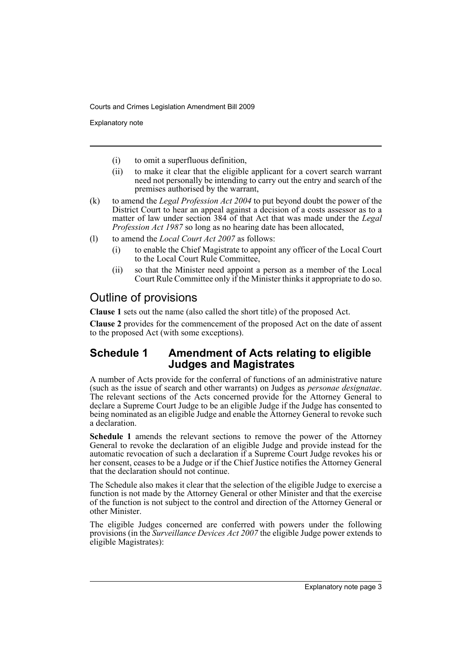Explanatory note

- (i) to omit a superfluous definition,
- (ii) to make it clear that the eligible applicant for a covert search warrant need not personally be intending to carry out the entry and search of the premises authorised by the warrant,
- (k) to amend the *Legal Profession Act 2004* to put beyond doubt the power of the District Court to hear an appeal against a decision of a costs assessor as to a matter of law under section 384 of that Act that was made under the *Legal Profession Act 1987* so long as no hearing date has been allocated,
- (l) to amend the *Local Court Act 2007* as follows:
	- (i) to enable the Chief Magistrate to appoint any officer of the Local Court to the Local Court Rule Committee,
	- (ii) so that the Minister need appoint a person as a member of the Local Court Rule Committee only if the Minister thinks it appropriate to do so.

## Outline of provisions

**Clause 1** sets out the name (also called the short title) of the proposed Act.

**Clause 2** provides for the commencement of the proposed Act on the date of assent to the proposed Act (with some exceptions).

### **Schedule 1 Amendment of Acts relating to eligible Judges and Magistrates**

A number of Acts provide for the conferral of functions of an administrative nature (such as the issue of search and other warrants) on Judges as *personae designatae*. The relevant sections of the Acts concerned provide for the Attorney General to declare a Supreme Court Judge to be an eligible Judge if the Judge has consented to being nominated as an eligible Judge and enable the Attorney General to revoke such a declaration.

**Schedule 1** amends the relevant sections to remove the power of the Attorney General to revoke the declaration of an eligible Judge and provide instead for the automatic revocation of such a declaration if a Supreme Court Judge revokes his or her consent, ceases to be a Judge or if the Chief Justice notifies the Attorney General that the declaration should not continue.

The Schedule also makes it clear that the selection of the eligible Judge to exercise a function is not made by the Attorney General or other Minister and that the exercise of the function is not subject to the control and direction of the Attorney General or other Minister.

The eligible Judges concerned are conferred with powers under the following provisions (in the *Surveillance Devices Act 2007* the eligible Judge power extends to eligible Magistrates):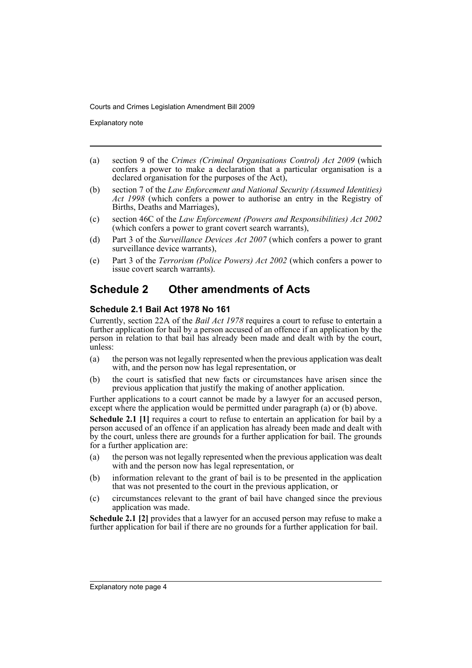Explanatory note

- (a) section 9 of the *Crimes (Criminal Organisations Control) Act 2009* (which confers a power to make a declaration that a particular organisation is a declared organisation for the purposes of the Act),
- (b) section 7 of the *Law Enforcement and National Security (Assumed Identities) Act 1998* (which confers a power to authorise an entry in the Registry of Births, Deaths and Marriages),
- (c) section 46C of the *Law Enforcement (Powers and Responsibilities) Act 2002* (which confers a power to grant covert search warrants),
- (d) Part 3 of the *Surveillance Devices Act 2007* (which confers a power to grant surveillance device warrants),
- (e) Part 3 of the *Terrorism (Police Powers) Act 2002* (which confers a power to issue covert search warrants).

## **Schedule 2 Other amendments of Acts**

#### **Schedule 2.1 Bail Act 1978 No 161**

Currently, section 22A of the *Bail Act 1978* requires a court to refuse to entertain a further application for bail by a person accused of an offence if an application by the person in relation to that bail has already been made and dealt with by the court, unless:

- (a) the person was not legally represented when the previous application was dealt with, and the person now has legal representation, or
- (b) the court is satisfied that new facts or circumstances have arisen since the previous application that justify the making of another application.

Further applications to a court cannot be made by a lawyer for an accused person, except where the application would be permitted under paragraph (a) or (b) above.

**Schedule 2.1 [1]** requires a court to refuse to entertain an application for bail by a person accused of an offence if an application has already been made and dealt with by the court, unless there are grounds for a further application for bail. The grounds for a further application are:

- (a) the person was not legally represented when the previous application was dealt with and the person now has legal representation, or
- (b) information relevant to the grant of bail is to be presented in the application that was not presented to the court in the previous application, or
- (c) circumstances relevant to the grant of bail have changed since the previous application was made.

**Schedule 2.1 [2]** provides that a lawyer for an accused person may refuse to make a further application for bail if there are no grounds for a further application for bail.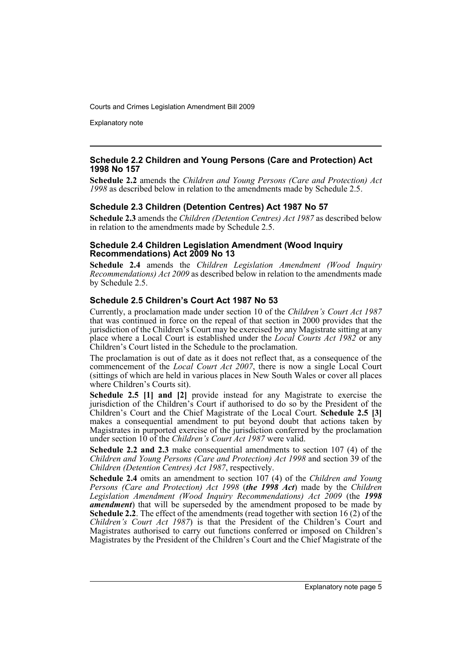Explanatory note

#### **Schedule 2.2 Children and Young Persons (Care and Protection) Act 1998 No 157**

**Schedule 2.2** amends the *Children and Young Persons (Care and Protection) Act 1998* as described below in relation to the amendments made by Schedule 2.5.

#### **Schedule 2.3 Children (Detention Centres) Act 1987 No 57**

**Schedule 2.3** amends the *Children (Detention Centres) Act 1987* as described below in relation to the amendments made by Schedule 2.5.

#### **Schedule 2.4 Children Legislation Amendment (Wood Inquiry Recommendations) Act 2009 No 13**

**Schedule 2.4** amends the *Children Legislation Amendment (Wood Inquiry Recommendations) Act 2009* as described below in relation to the amendments made by Schedule 2.5.

#### **Schedule 2.5 Children's Court Act 1987 No 53**

Currently, a proclamation made under section 10 of the *Children's Court Act 1987* that was continued in force on the repeal of that section in 2000 provides that the jurisdiction of the Children's Court may be exercised by any Magistrate sitting at any place where a Local Court is established under the *Local Courts Act 1982* or any Children's Court listed in the Schedule to the proclamation.

The proclamation is out of date as it does not reflect that, as a consequence of the commencement of the *Local Court Act 2007*, there is now a single Local Court (sittings of which are held in various places in New South Wales or cover all places where Children's Courts sit).

**Schedule 2.5 [1] and [2]** provide instead for any Magistrate to exercise the jurisdiction of the Children's Court if authorised to do so by the President of the Children's Court and the Chief Magistrate of the Local Court. **Schedule 2.5 [3]** makes a consequential amendment to put beyond doubt that actions taken by Magistrates in purported exercise of the jurisdiction conferred by the proclamation under section 10 of the *Children's Court Act 1987* were valid.

**Schedule 2.2 and 2.3** make consequential amendments to section 107 (4) of the *Children and Young Persons (Care and Protection) Act 1998* and section 39 of the *Children (Detention Centres) Act 1987*, respectively.

**Schedule 2.4** omits an amendment to section 107 (4) of the *Children and Young Persons (Care and Protection) Act 1998* (*the 1998 Act*) made by the *Children Legislation Amendment (Wood Inquiry Recommendations) Act 2009* (the *1998 amendment*) that will be superseded by the amendment proposed to be made by **Schedule 2.2**. The effect of the amendments (read together with section 16 (2) of the *Children's Court Act 1987*) is that the President of the Children's Court and Magistrates authorised to carry out functions conferred or imposed on Children's Magistrates by the President of the Children's Court and the Chief Magistrate of the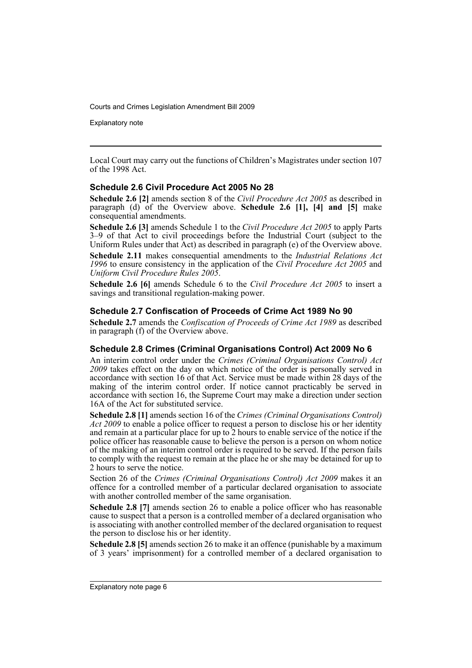Explanatory note

Local Court may carry out the functions of Children's Magistrates under section 107 of the 1998 Act.

#### **Schedule 2.6 Civil Procedure Act 2005 No 28**

**Schedule 2.6 [2]** amends section 8 of the *Civil Procedure Act 2005* as described in paragraph (d) of the Overview above. **Schedule 2.6 [1], [4] and [5]** make consequential amendments.

**Schedule 2.6 [3]** amends Schedule 1 to the *Civil Procedure Act 2005* to apply Parts 3–9 of that Act to civil proceedings before the Industrial Court (subject to the Uniform Rules under that Act) as described in paragraph (e) of the Overview above.

**Schedule 2.11** makes consequential amendments to the *Industrial Relations Act 1996* to ensure consistency in the application of the *Civil Procedure Act 2005* and *Uniform Civil Procedure Rules 2005*.

**Schedule 2.6 [6]** amends Schedule 6 to the *Civil Procedure Act 2005* to insert a savings and transitional regulation-making power.

#### **Schedule 2.7 Confiscation of Proceeds of Crime Act 1989 No 90**

**Schedule 2.7** amends the *Confiscation of Proceeds of Crime Act 1989* as described in paragraph (f) of the Overview above.

#### **Schedule 2.8 Crimes (Criminal Organisations Control) Act 2009 No 6**

An interim control order under the *Crimes (Criminal Organisations Control) Act 2009* takes effect on the day on which notice of the order is personally served in accordance with section 16 of that Act. Service must be made within 28 days of the making of the interim control order. If notice cannot practicably be served in accordance with section 16, the Supreme Court may make a direction under section 16A of the Act for substituted service.

**Schedule 2.8 [1]** amends section 16 of the *Crimes (Criminal Organisations Control) Act 2009* to enable a police officer to request a person to disclose his or her identity and remain at a particular place for up to 2 hours to enable service of the notice if the police officer has reasonable cause to believe the person is a person on whom notice of the making of an interim control order is required to be served. If the person fails to comply with the request to remain at the place he or she may be detained for up to 2 hours to serve the notice.

Section 26 of the *Crimes (Criminal Organisations Control) Act 2009* makes it an offence for a controlled member of a particular declared organisation to associate with another controlled member of the same organisation.

**Schedule 2.8 [7]** amends section 26 to enable a police officer who has reasonable cause to suspect that a person is a controlled member of a declared organisation who is associating with another controlled member of the declared organisation to request the person to disclose his or her identity.

**Schedule 2.8 [5]** amends section 26 to make it an offence (punishable by a maximum of 3 years' imprisonment) for a controlled member of a declared organisation to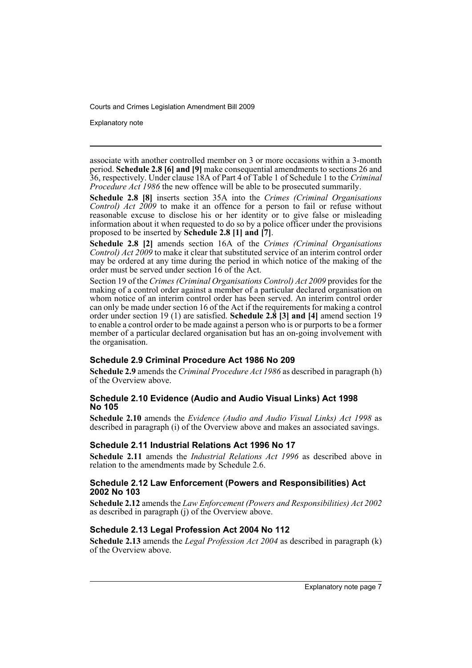Explanatory note

associate with another controlled member on 3 or more occasions within a 3-month period. **Schedule 2.8 [6] and [9]** make consequential amendments to sections 26 and 36, respectively. Under clause 18A of Part 4 of Table 1 of Schedule 1 to the *Criminal Procedure Act 1986* the new offence will be able to be prosecuted summarily.

**Schedule 2.8 [8]** inserts section 35A into the *Crimes (Criminal Organisations Control) Act 2009* to make it an offence for a person to fail or refuse without reasonable excuse to disclose his or her identity or to give false or misleading information about it when requested to do so by a police officer under the provisions proposed to be inserted by **Schedule 2.8 [1] and [7]**.

**Schedule 2.8 [2]** amends section 16A of the *Crimes (Criminal Organisations Control) Act 2009* to make it clear that substituted service of an interim control order may be ordered at any time during the period in which notice of the making of the order must be served under section 16 of the Act.

Section 19 of the *Crimes (Criminal Organisations Control) Act 2009* provides for the making of a control order against a member of a particular declared organisation on whom notice of an interim control order has been served. An interim control order can only be made under section 16 of the Act if the requirements for making a control order under section 19 (1) are satisfied. **Schedule 2.8 [3] and [4]** amend section 19 to enable a control order to be made against a person who is or purports to be a former member of a particular declared organisation but has an on-going involvement with the organisation.

#### **Schedule 2.9 Criminal Procedure Act 1986 No 209**

**Schedule 2.9** amends the *Criminal Procedure Act 1986* as described in paragraph (h) of the Overview above.

#### **Schedule 2.10 Evidence (Audio and Audio Visual Links) Act 1998 No 105**

**Schedule 2.10** amends the *Evidence (Audio and Audio Visual Links) Act 1998* as described in paragraph (i) of the Overview above and makes an associated savings.

#### **Schedule 2.11 Industrial Relations Act 1996 No 17**

**Schedule 2.11** amends the *Industrial Relations Act 1996* as described above in relation to the amendments made by Schedule 2.6.

#### **Schedule 2.12 Law Enforcement (Powers and Responsibilities) Act 2002 No 103**

**Schedule 2.12** amends the *Law Enforcement (Powers and Responsibilities) Act 2002* as described in paragraph (j) of the Overview above.

#### **Schedule 2.13 Legal Profession Act 2004 No 112**

**Schedule 2.13** amends the *Legal Profession Act 2004* as described in paragraph (k) of the Overview above.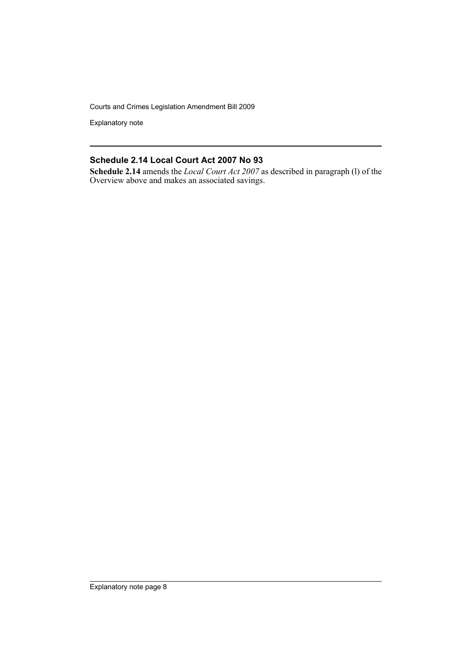Explanatory note

#### **Schedule 2.14 Local Court Act 2007 No 93**

**Schedule 2.14** amends the *Local Court Act 2007* as described in paragraph (l) of the Overview above and makes an associated savings.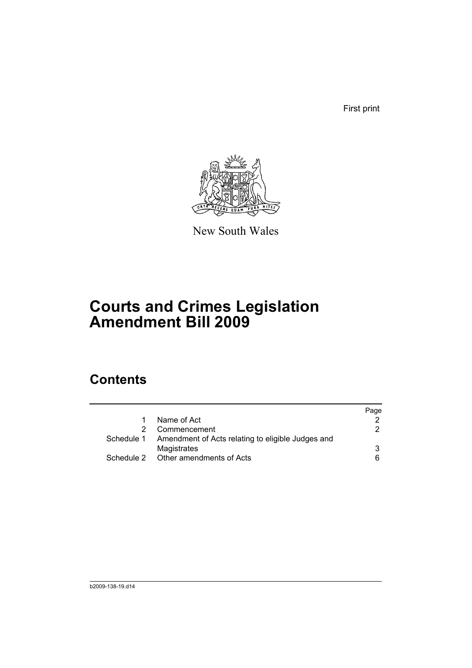First print



New South Wales

# **Courts and Crimes Legislation Amendment Bill 2009**

## **Contents**

|                                                              | Page |
|--------------------------------------------------------------|------|
| Name of Act                                                  |      |
| Commencement                                                 | 2.   |
| Schedule 1 Amendment of Acts relating to eligible Judges and |      |
| Magistrates                                                  | 3    |
| Schedule 2 Other amendments of Acts                          | 6    |
|                                                              |      |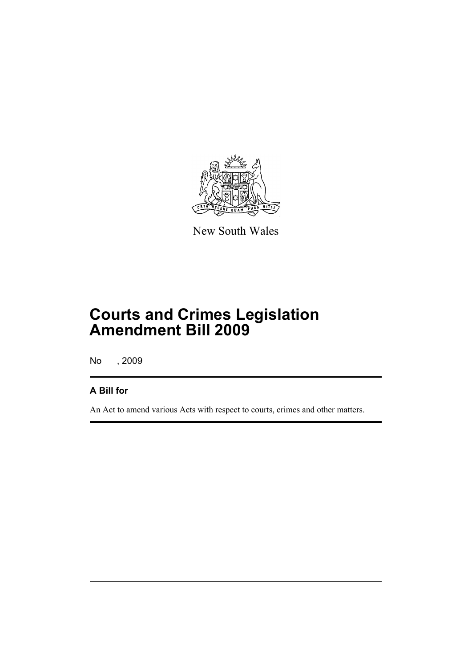

New South Wales

# **Courts and Crimes Legislation Amendment Bill 2009**

No , 2009

### **A Bill for**

An Act to amend various Acts with respect to courts, crimes and other matters.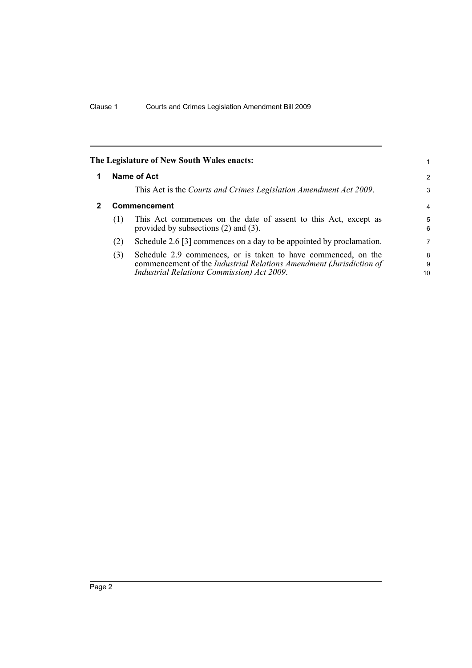<span id="page-11-1"></span><span id="page-11-0"></span>

|   |                     | The Legislature of New South Wales enacts:                                                                                                                                         |                |
|---|---------------------|------------------------------------------------------------------------------------------------------------------------------------------------------------------------------------|----------------|
| 1 |                     | Name of Act                                                                                                                                                                        | $\overline{2}$ |
|   |                     | This Act is the Courts and Crimes Legislation Amendment Act 2009.                                                                                                                  | 3              |
| 2 | <b>Commencement</b> |                                                                                                                                                                                    | $\overline{4}$ |
|   | (1)                 | This Act commences on the date of assent to this Act, except as<br>provided by subsections $(2)$ and $(3)$ .                                                                       | 5<br>6         |
|   | (2)                 | Schedule 2.6 [3] commences on a day to be appointed by proclamation.                                                                                                               | 7              |
|   | (3)                 | Schedule 2.9 commences, or is taken to have commenced, on the<br>commencement of the Industrial Relations Amendment (Jurisdiction of<br>Industrial Relations Commission) Act 2009. | 8<br>9<br>10   |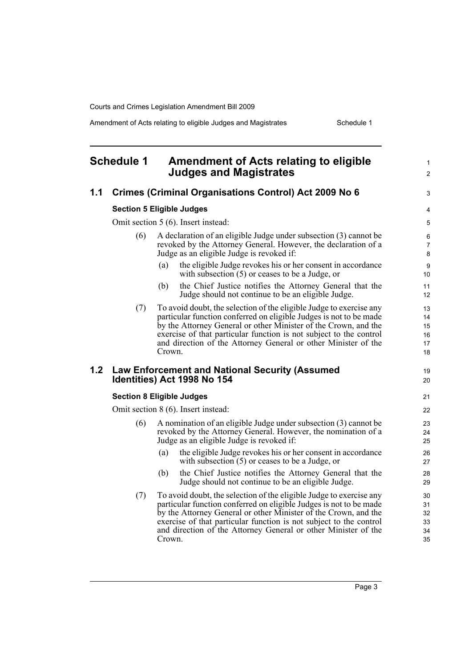Amendment of Acts relating to eligible Judges and Magistrates Schedule 1

<span id="page-12-0"></span>

|     | <b>Schedule 1</b> | Amendment of Acts relating to eligible<br><b>Judges and Magistrates</b>                                                                                                                                                                                                                                                                                        | $\mathbf{1}$<br>$\mathbf{2}$     |
|-----|-------------------|----------------------------------------------------------------------------------------------------------------------------------------------------------------------------------------------------------------------------------------------------------------------------------------------------------------------------------------------------------------|----------------------------------|
| 1.1 |                   | <b>Crimes (Criminal Organisations Control) Act 2009 No 6</b>                                                                                                                                                                                                                                                                                                   | 3                                |
|     |                   | <b>Section 5 Eligible Judges</b>                                                                                                                                                                                                                                                                                                                               | 4                                |
|     |                   | Omit section 5 (6). Insert instead:                                                                                                                                                                                                                                                                                                                            | 5                                |
|     | (6)               | A declaration of an eligible Judge under subsection (3) cannot be<br>revoked by the Attorney General. However, the declaration of a<br>Judge as an eligible Judge is revoked if:                                                                                                                                                                               | 6<br>$\boldsymbol{7}$<br>8       |
|     |                   | the eligible Judge revokes his or her consent in accordance<br>(a)<br>with subsection $(5)$ or ceases to be a Judge, or                                                                                                                                                                                                                                        | 9<br>10                          |
|     |                   | the Chief Justice notifies the Attorney General that the<br>(b)<br>Judge should not continue to be an eligible Judge.                                                                                                                                                                                                                                          | 11<br>12 <sup>2</sup>            |
|     | (7)               | To avoid doubt, the selection of the eligible Judge to exercise any<br>particular function conferred on eligible Judges is not to be made<br>by the Attorney General or other Minister of the Crown, and the<br>exercise of that particular function is not subject to the control<br>and direction of the Attorney General or other Minister of the<br>Crown. | 13<br>14<br>15<br>16<br>17<br>18 |
| 1.2 |                   | <b>Law Enforcement and National Security (Assumed</b><br>Identities) Act 1998 No 154                                                                                                                                                                                                                                                                           | 19<br>20                         |
|     |                   | <b>Section 8 Eligible Judges</b>                                                                                                                                                                                                                                                                                                                               | 21                               |
|     |                   | Omit section 8 (6). Insert instead:                                                                                                                                                                                                                                                                                                                            | 22                               |
|     | (6)               | A nomination of an eligible Judge under subsection (3) cannot be<br>revoked by the Attorney General. However, the nomination of a<br>Judge as an eligible Judge is revoked if:                                                                                                                                                                                 | 23<br>24<br>25                   |
|     |                   | the eligible Judge revokes his or her consent in accordance<br>(a)<br>with subsection $(5)$ or ceases to be a Judge, or                                                                                                                                                                                                                                        | 26<br>27                         |
|     |                   | the Chief Justice notifies the Attorney General that the<br>(b)<br>Judge should not continue to be an eligible Judge.                                                                                                                                                                                                                                          | 28<br>29                         |
|     | (7)               | To avoid doubt, the selection of the eligible Judge to exercise any<br>particular function conferred on eligible Judges is not to be made<br>by the Attorney General or other Minister of the Crown, and the<br>exercise of that particular function is not subject to the control<br>and direction of the Attorney General or other Minister of the<br>Crown. | 30<br>31<br>32<br>33<br>34<br>35 |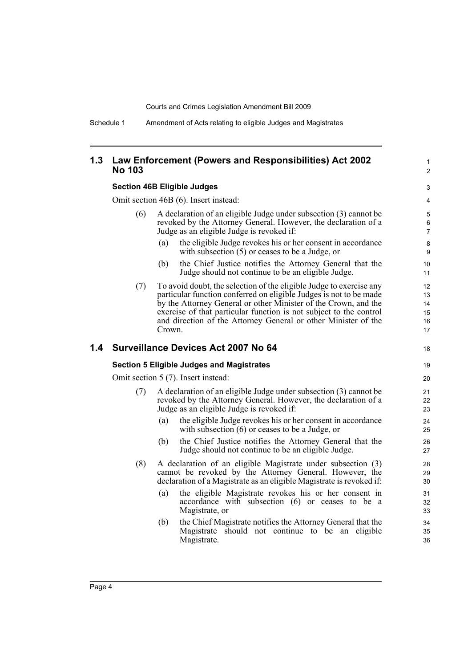Schedule 1 Amendment of Acts relating to eligible Judges and Magistrates

#### **1.3 Law Enforcement (Powers and Responsibilities) Act 2002 No 103**

#### **Section 46B Eligible Judges**

Omit section 46B (6). Insert instead:

- (6) A declaration of an eligible Judge under subsection (3) cannot be revoked by the Attorney General. However, the declaration of a Judge as an eligible Judge is revoked if:
	- (a) the eligible Judge revokes his or her consent in accordance with subsection (5) or ceases to be a Judge, or

1  $\overline{2}$ 

18

- (b) the Chief Justice notifies the Attorney General that the Judge should not continue to be an eligible Judge.
- (7) To avoid doubt, the selection of the eligible Judge to exercise any particular function conferred on eligible Judges is not to be made by the Attorney General or other Minister of the Crown, and the exercise of that particular function is not subject to the control and direction of the Attorney General or other Minister of the Crown.

#### **1.4 Surveillance Devices Act 2007 No 64**

#### **Section 5 Eligible Judges and Magistrates**

Omit section 5 (7). Insert instead:

- (7) A declaration of an eligible Judge under subsection (3) cannot be revoked by the Attorney General. However, the declaration of a Judge as an eligible Judge is revoked if:
	- (a) the eligible Judge revokes his or her consent in accordance with subsection (6) or ceases to be a Judge, or
	- (b) the Chief Justice notifies the Attorney General that the Judge should not continue to be an eligible Judge.
- (8) A declaration of an eligible Magistrate under subsection (3) cannot be revoked by the Attorney General. However, the declaration of a Magistrate as an eligible Magistrate is revoked if:
	- (a) the eligible Magistrate revokes his or her consent in accordance with subsection (6) or ceases to be a Magistrate, or
	- (b) the Chief Magistrate notifies the Attorney General that the Magistrate should not continue to be an eligible Magistrate.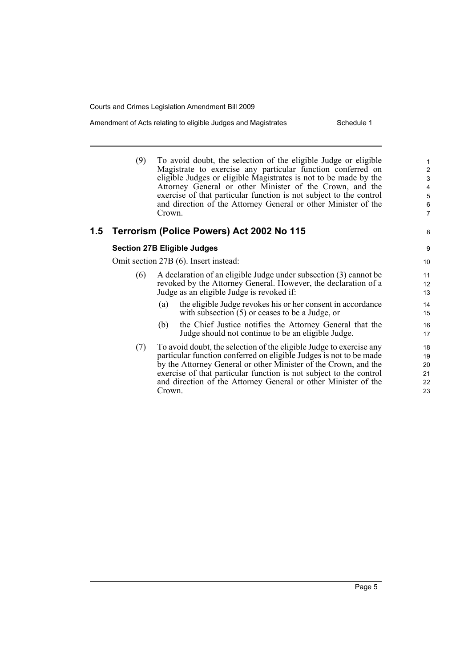Amendment of Acts relating to eligible Judges and Magistrates Schedule 1

8

(9) To avoid doubt, the selection of the eligible Judge or eligible Magistrate to exercise any particular function conferred on eligible Judges or eligible Magistrates is not to be made by the Attorney General or other Minister of the Crown, and the exercise of that particular function is not subject to the control and direction of the Attorney General or other Minister of the Crown.

#### **1.5 Terrorism (Police Powers) Act 2002 No 115**

#### **Section 27B Eligible Judges**

Omit section 27B (6). Insert instead:

- (6) A declaration of an eligible Judge under subsection (3) cannot be revoked by the Attorney General. However, the declaration of a Judge as an eligible Judge is revoked if:
	- (a) the eligible Judge revokes his or her consent in accordance with subsection (5) or ceases to be a Judge, or
	- (b) the Chief Justice notifies the Attorney General that the Judge should not continue to be an eligible Judge.
- (7) To avoid doubt, the selection of the eligible Judge to exercise any particular function conferred on eligible Judges is not to be made by the Attorney General or other Minister of the Crown, and the exercise of that particular function is not subject to the control and direction of the Attorney General or other Minister of the Crown.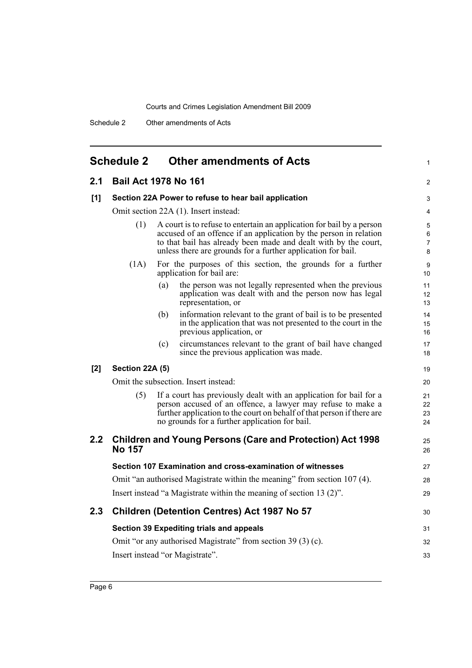<span id="page-15-0"></span>

|     | <b>Schedule 2</b>      | <b>Other amendments of Acts</b>                                                                                                                                                                                                                                               | 1                    |
|-----|------------------------|-------------------------------------------------------------------------------------------------------------------------------------------------------------------------------------------------------------------------------------------------------------------------------|----------------------|
| 2.1 |                        | <b>Bail Act 1978 No 161</b>                                                                                                                                                                                                                                                   | 2                    |
| [1] |                        | Section 22A Power to refuse to hear bail application                                                                                                                                                                                                                          | 3                    |
|     |                        | Omit section 22A (1). Insert instead:                                                                                                                                                                                                                                         | 4                    |
|     | (1)                    | A court is to refuse to entertain an application for bail by a person<br>accused of an offence if an application by the person in relation<br>to that bail has already been made and dealt with by the court,<br>unless there are grounds for a further application for bail. | 5<br>6<br>7<br>8     |
|     | (1A)                   | For the purposes of this section, the grounds for a further<br>application for bail are:                                                                                                                                                                                      | 9<br>10              |
|     |                        | the person was not legally represented when the previous<br>(a)<br>application was dealt with and the person now has legal<br>representation, or                                                                                                                              | 11<br>12<br>13       |
|     |                        | information relevant to the grant of bail is to be presented<br>(b)<br>in the application that was not presented to the court in the<br>previous application, or                                                                                                              | 14<br>15<br>16       |
|     |                        | circumstances relevant to the grant of bail have changed<br>(c)<br>since the previous application was made.                                                                                                                                                                   | 17<br>18             |
| [2] | <b>Section 22A (5)</b> |                                                                                                                                                                                                                                                                               | 19                   |
|     |                        | Omit the subsection. Insert instead:                                                                                                                                                                                                                                          | 20                   |
|     | (5)                    | If a court has previously dealt with an application for bail for a<br>person accused of an offence, a lawyer may refuse to make a<br>further application to the court on behalf of that person if there are<br>no grounds for a further application for bail.                 | 21<br>22<br>23<br>24 |
| 2.2 | <b>No 157</b>          | <b>Children and Young Persons (Care and Protection) Act 1998</b>                                                                                                                                                                                                              | 25<br>26             |
|     |                        | Section 107 Examination and cross-examination of witnesses                                                                                                                                                                                                                    | 27                   |
|     |                        | Omit "an authorised Magistrate within the meaning" from section 107 (4).                                                                                                                                                                                                      | 28                   |
|     |                        | Insert instead "a Magistrate within the meaning of section 13 (2)".                                                                                                                                                                                                           | 29                   |
| 2.3 |                        | Children (Detention Centres) Act 1987 No 57                                                                                                                                                                                                                                   | 30                   |
|     |                        | Section 39 Expediting trials and appeals                                                                                                                                                                                                                                      | 31                   |
|     |                        | Omit "or any authorised Magistrate" from section 39 (3) (c).                                                                                                                                                                                                                  | 32                   |
|     |                        | Insert instead "or Magistrate".                                                                                                                                                                                                                                               | 33                   |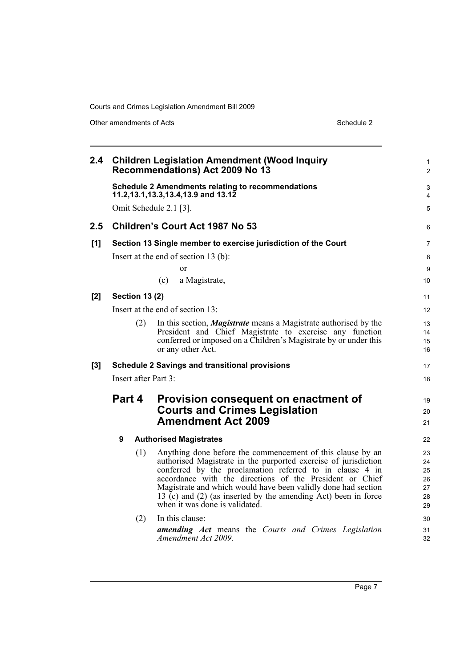Other amendments of Acts Schedule 2

| 2.4 |        |                       | <b>Children Legislation Amendment (Wood Inquiry</b><br>Recommendations) Act 2009 No 13                                                                                                                                                                                                                                                                                                                                     | $\mathbf{1}$<br>$\overline{2}$         |
|-----|--------|-----------------------|----------------------------------------------------------------------------------------------------------------------------------------------------------------------------------------------------------------------------------------------------------------------------------------------------------------------------------------------------------------------------------------------------------------------------|----------------------------------------|
|     |        |                       | <b>Schedule 2 Amendments relating to recommendations</b><br>11.2,13.1,13.3,13.4,13.9 and 13.12                                                                                                                                                                                                                                                                                                                             | 3<br>4                                 |
|     |        |                       | Omit Schedule 2.1 [3].                                                                                                                                                                                                                                                                                                                                                                                                     | 5                                      |
| 2.5 |        |                       | Children's Court Act 1987 No 53                                                                                                                                                                                                                                                                                                                                                                                            | 6                                      |
| [1] |        |                       | Section 13 Single member to exercise jurisdiction of the Court                                                                                                                                                                                                                                                                                                                                                             | $\overline{7}$                         |
|     |        |                       | Insert at the end of section $13$ (b):                                                                                                                                                                                                                                                                                                                                                                                     | 8                                      |
|     |        |                       | <sub>or</sub>                                                                                                                                                                                                                                                                                                                                                                                                              | 9                                      |
|     |        |                       | a Magistrate,<br>(c)                                                                                                                                                                                                                                                                                                                                                                                                       | 10                                     |
| [2] |        | <b>Section 13 (2)</b> |                                                                                                                                                                                                                                                                                                                                                                                                                            | 11                                     |
|     |        |                       | Insert at the end of section 13:                                                                                                                                                                                                                                                                                                                                                                                           | 12                                     |
|     |        | (2)                   | In this section, <i>Magistrate</i> means a Magistrate authorised by the<br>President and Chief Magistrate to exercise any function<br>conferred or imposed on a Children's Magistrate by or under this<br>or any other Act.                                                                                                                                                                                                | 13<br>14<br>15<br>16                   |
| [3] |        |                       | <b>Schedule 2 Savings and transitional provisions</b>                                                                                                                                                                                                                                                                                                                                                                      | 17                                     |
|     |        |                       | Insert after Part 3:                                                                                                                                                                                                                                                                                                                                                                                                       | 18                                     |
|     | Part 4 |                       | Provision consequent on enactment of<br><b>Courts and Crimes Legislation</b><br><b>Amendment Act 2009</b>                                                                                                                                                                                                                                                                                                                  | 19<br>20<br>21                         |
|     | 9      |                       | <b>Authorised Magistrates</b>                                                                                                                                                                                                                                                                                                                                                                                              | 22                                     |
|     |        | (1)                   | Anything done before the commencement of this clause by an<br>authorised Magistrate in the purported exercise of jurisdiction<br>conferred by the proclamation referred to in clause 4 in<br>accordance with the directions of the President or Chief<br>Magistrate and which would have been validly done had section<br>13 (c) and (2) (as inserted by the amending Act) been in force<br>when it was done is validated. | 23<br>24<br>25<br>26<br>27<br>28<br>29 |
|     |        | (2)                   | In this clause:<br>amending Act means the Courts and Crimes Legislation<br>Amendment Act 2009.                                                                                                                                                                                                                                                                                                                             | 30<br>31<br>32                         |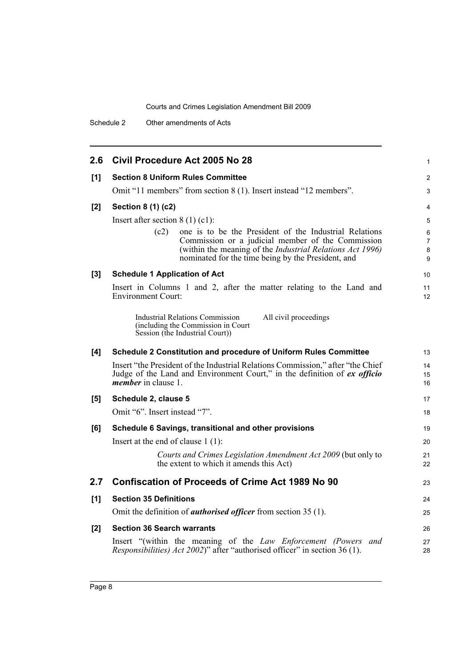Schedule 2 Other amendments of Acts

| 2.6   | Civil Procedure Act 2005 No 28                                                                                                                                                              | 1                   |
|-------|---------------------------------------------------------------------------------------------------------------------------------------------------------------------------------------------|---------------------|
| [1]   | <b>Section 8 Uniform Rules Committee</b>                                                                                                                                                    | 2                   |
|       | Omit "11 members" from section 8 (1). Insert instead "12 members".                                                                                                                          | 3                   |
| [2]   | Section 8 (1) (c2)                                                                                                                                                                          | 4                   |
|       | Insert after section $8(1)(c1)$ :                                                                                                                                                           | 5                   |
|       | one is to be the President of the Industrial Relations<br>(c2)                                                                                                                              | 6                   |
|       | Commission or a judicial member of the Commission<br>(within the meaning of the Industrial Relations Act 1996)                                                                              | $\overline{7}$<br>8 |
|       | nominated for the time being by the President, and                                                                                                                                          | 9                   |
| $[3]$ | <b>Schedule 1 Application of Act</b>                                                                                                                                                        | 10                  |
|       | Insert in Columns 1 and 2, after the matter relating to the Land and<br><b>Environment Court:</b>                                                                                           | 11<br>12            |
|       | <b>Industrial Relations Commission</b><br>All civil proceedings<br>(including the Commission in Court<br>Session (the Industrial Court))                                                    |                     |
| [4]   | <b>Schedule 2 Constitution and procedure of Uniform Rules Committee</b>                                                                                                                     | 13                  |
|       | Insert "the President of the Industrial Relations Commission," after "the Chief"<br>Judge of the Land and Environment Court," in the definition of ex officio<br><i>member</i> in clause 1. | 14<br>15<br>16      |
| [5]   | Schedule 2, clause 5                                                                                                                                                                        | 17                  |
|       | Omit "6". Insert instead "7".                                                                                                                                                               | 18                  |
|       |                                                                                                                                                                                             |                     |
| [6]   | Schedule 6 Savings, transitional and other provisions                                                                                                                                       | 19                  |
|       | Insert at the end of clause $1(1)$ :                                                                                                                                                        | 20                  |
|       | Courts and Crimes Legislation Amendment Act 2009 (but only to<br>the extent to which it amends this Act)                                                                                    | 21<br>22            |
| 2.7   | <b>Confiscation of Proceeds of Crime Act 1989 No 90</b>                                                                                                                                     | 23                  |
| [1]   | <b>Section 35 Definitions</b>                                                                                                                                                               | 24                  |
|       | Omit the definition of <i>authorised officer</i> from section 35 (1).                                                                                                                       | 25                  |
| [2]   | <b>Section 36 Search warrants</b>                                                                                                                                                           | 26                  |
|       | Insert "(within the meaning of the Law Enforcement (Powers and<br>Responsibilities) Act 2002)" after "authorised officer" in section 36 (1).                                                | 27<br>28            |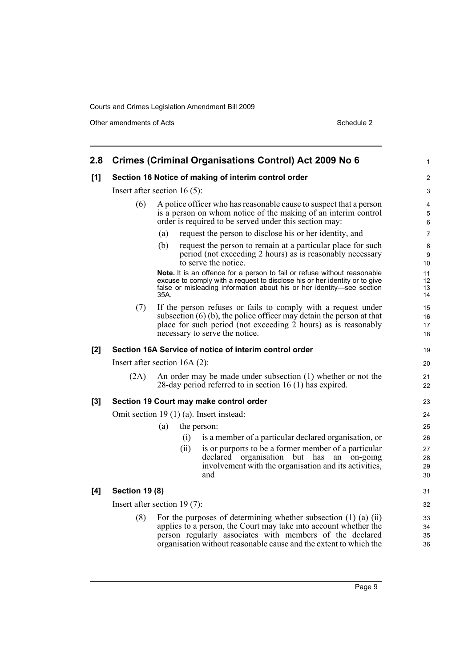Other amendments of Acts Schedule 2

| 2.8   |                       | <b>Crimes (Criminal Organisations Control) Act 2009 No 6</b>                                                                                                                                                                                                               | 1                    |
|-------|-----------------------|----------------------------------------------------------------------------------------------------------------------------------------------------------------------------------------------------------------------------------------------------------------------------|----------------------|
| [1]   |                       | Section 16 Notice of making of interim control order                                                                                                                                                                                                                       | 2                    |
|       |                       | Insert after section 16 $(5)$ :                                                                                                                                                                                                                                            | 3                    |
|       | (6)                   | A police officer who has reasonable cause to suspect that a person<br>is a person on whom notice of the making of an interim control<br>order is required to be served under this section may:                                                                             | 4<br>5<br>6          |
|       |                       | request the person to disclose his or her identity, and<br>(a)                                                                                                                                                                                                             | $\overline{7}$       |
|       |                       | (b)<br>request the person to remain at a particular place for such<br>period (not exceeding 2 hours) as is reasonably necessary<br>to serve the notice.                                                                                                                    | 8<br>9<br>10         |
|       |                       | Note. It is an offence for a person to fail or refuse without reasonable<br>excuse to comply with a request to disclose his or her identity or to give<br>false or misleading information about his or her identity-see section<br>35A.                                    | 11<br>12<br>13<br>14 |
|       | (7)                   | If the person refuses or fails to comply with a request under<br>subsection $(6)$ (b), the police officer may detain the person at that<br>place for such period (not exceeding $\hat{2}$ hours) as is reasonably<br>necessary to serve the notice.                        | 15<br>16<br>17<br>18 |
| [2]   |                       | Section 16A Service of notice of interim control order                                                                                                                                                                                                                     | 19                   |
|       |                       | Insert after section $16A(2)$ :                                                                                                                                                                                                                                            | 20                   |
|       | (2A)                  | An order may be made under subsection (1) whether or not the<br>28-day period referred to in section 16 (1) has expired.                                                                                                                                                   | 21<br>22             |
| $[3]$ |                       | Section 19 Court may make control order                                                                                                                                                                                                                                    | 23                   |
|       |                       | Omit section 19 (1) (a). Insert instead:                                                                                                                                                                                                                                   | 24                   |
|       |                       | (a)<br>the person:                                                                                                                                                                                                                                                         | 25                   |
|       |                       | is a member of a particular declared organisation, or<br>(i)                                                                                                                                                                                                               | 26                   |
|       |                       | (ii)<br>is or purports to be a former member of a particular<br>declared organisation but has an on-going<br>involvement with the organisation and its activities,<br>and                                                                                                  | 27<br>28<br>29<br>30 |
| [4]   | <b>Section 19 (8)</b> |                                                                                                                                                                                                                                                                            | 31                   |
|       |                       | Insert after section $19(7)$ :                                                                                                                                                                                                                                             | 32                   |
|       | (8)                   | For the purposes of determining whether subsection $(1)$ $(a)$ $(ii)$<br>applies to a person, the Court may take into account whether the<br>person regularly associates with members of the declared<br>organisation without reasonable cause and the extent to which the | 33<br>34<br>35<br>36 |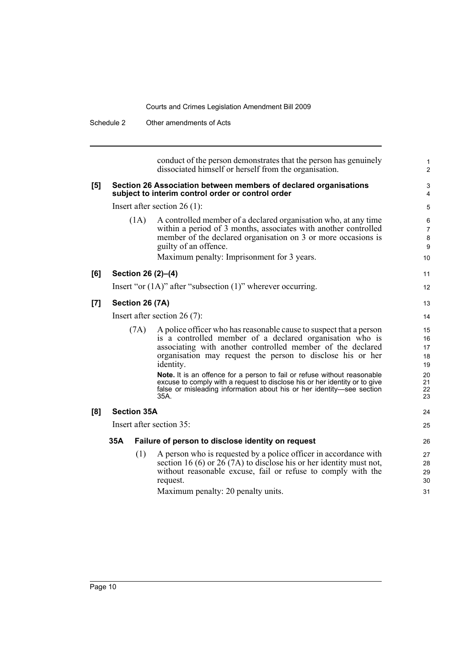| (1A)<br>Section 26 (2)-(4)<br>Section 26 (7A) | conduct of the person demonstrates that the person has genuinely<br>dissociated himself or herself from the organisation.<br>Section 26 Association between members of declared organisations<br>subject to interim control order or control order<br>Insert after section $26(1)$ :<br>A controlled member of a declared organisation who, at any time<br>within a period of 3 months, associates with another controlled<br>member of the declared organisation on 3 or more occasions is<br>guilty of an offence.<br>Maximum penalty: Imprisonment for 3 years.<br>Insert "or $(1A)$ " after "subsection $(1)$ " wherever occurring.<br>Insert after section $26(7)$ : | 1<br>$\overline{2}$<br>3<br>4                                                                                                             |
|-----------------------------------------------|---------------------------------------------------------------------------------------------------------------------------------------------------------------------------------------------------------------------------------------------------------------------------------------------------------------------------------------------------------------------------------------------------------------------------------------------------------------------------------------------------------------------------------------------------------------------------------------------------------------------------------------------------------------------------|-------------------------------------------------------------------------------------------------------------------------------------------|
|                                               |                                                                                                                                                                                                                                                                                                                                                                                                                                                                                                                                                                                                                                                                           |                                                                                                                                           |
|                                               |                                                                                                                                                                                                                                                                                                                                                                                                                                                                                                                                                                                                                                                                           | 5<br>6<br>7<br>8<br>9<br>10<br>11                                                                                                         |
|                                               |                                                                                                                                                                                                                                                                                                                                                                                                                                                                                                                                                                                                                                                                           |                                                                                                                                           |
|                                               |                                                                                                                                                                                                                                                                                                                                                                                                                                                                                                                                                                                                                                                                           |                                                                                                                                           |
|                                               |                                                                                                                                                                                                                                                                                                                                                                                                                                                                                                                                                                                                                                                                           | 12<br>13<br>14                                                                                                                            |
|                                               |                                                                                                                                                                                                                                                                                                                                                                                                                                                                                                                                                                                                                                                                           |                                                                                                                                           |
|                                               |                                                                                                                                                                                                                                                                                                                                                                                                                                                                                                                                                                                                                                                                           |                                                                                                                                           |
|                                               |                                                                                                                                                                                                                                                                                                                                                                                                                                                                                                                                                                                                                                                                           |                                                                                                                                           |
| (7A)                                          | A police officer who has reasonable cause to suspect that a person<br>is a controlled member of a declared organisation who is<br>associating with another controlled member of the declared<br>organisation may request the person to disclose his or her<br>identity.<br>Note. It is an offence for a person to fail or refuse without reasonable<br>excuse to comply with a request to disclose his or her identity or to give<br>false or misleading information about his or her identity—see section                                                                                                                                                                | 15<br>16<br>17<br>18<br>19<br>20<br>21<br>22                                                                                              |
|                                               | 35A.                                                                                                                                                                                                                                                                                                                                                                                                                                                                                                                                                                                                                                                                      | 23                                                                                                                                        |
|                                               |                                                                                                                                                                                                                                                                                                                                                                                                                                                                                                                                                                                                                                                                           | 24                                                                                                                                        |
|                                               |                                                                                                                                                                                                                                                                                                                                                                                                                                                                                                                                                                                                                                                                           | 25                                                                                                                                        |
| 35A                                           |                                                                                                                                                                                                                                                                                                                                                                                                                                                                                                                                                                                                                                                                           | 26                                                                                                                                        |
|                                               | A person who is requested by a police officer in accordance with<br>section 16 (6) or $26(7A)$ to disclose his or her identity must not,<br>without reasonable excuse, fail or refuse to comply with the<br>request.                                                                                                                                                                                                                                                                                                                                                                                                                                                      | 27<br>28<br>29<br>30<br>31                                                                                                                |
|                                               | (1)                                                                                                                                                                                                                                                                                                                                                                                                                                                                                                                                                                                                                                                                       | <b>Section 35A</b><br>Insert after section 35:<br>Failure of person to disclose identity on request<br>Maximum penalty: 20 penalty units. |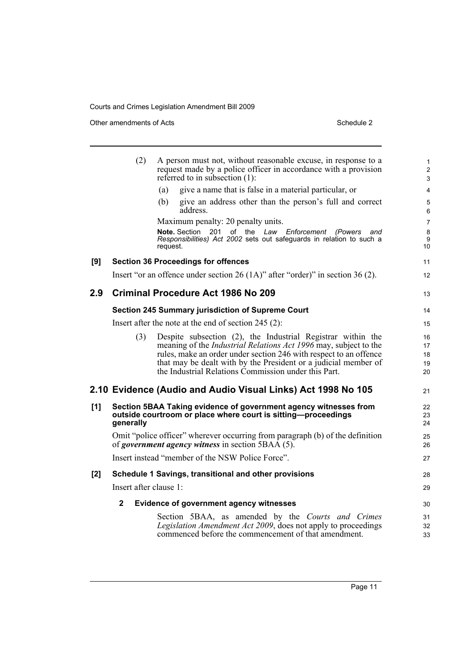Other amendments of Acts Schedule 2

|       | (2)                    | A person must not, without reasonable excuse, in response to a<br>request made by a police officer in accordance with a provision<br>referred to in subsection $(1)$ :                                                                                                                                                                 | 1<br>$\overline{\mathbf{c}}$<br>3 |
|-------|------------------------|----------------------------------------------------------------------------------------------------------------------------------------------------------------------------------------------------------------------------------------------------------------------------------------------------------------------------------------|-----------------------------------|
|       |                        | give a name that is false in a material particular, or<br>(a)                                                                                                                                                                                                                                                                          | 4                                 |
|       |                        | give an address other than the person's full and correct<br>(b)<br>address.                                                                                                                                                                                                                                                            | 5<br>6                            |
|       |                        | Maximum penalty: 20 penalty units.                                                                                                                                                                                                                                                                                                     | $\overline{7}$                    |
|       |                        | Note. Section 201 of the Law Enforcement<br>(Powers<br>and<br>Responsibilities) Act 2002 sets out safeguards in relation to such a<br>request.                                                                                                                                                                                         | 8<br>9<br>10                      |
| [9]   |                        | <b>Section 36 Proceedings for offences</b>                                                                                                                                                                                                                                                                                             | 11                                |
|       |                        | Insert "or an offence under section 26 $(1A)$ " after "order)" in section 36 $(2)$ .                                                                                                                                                                                                                                                   | 12                                |
| 2.9   |                        | <b>Criminal Procedure Act 1986 No 209</b>                                                                                                                                                                                                                                                                                              | 13                                |
|       |                        | <b>Section 245 Summary jurisdiction of Supreme Court</b>                                                                                                                                                                                                                                                                               | 14                                |
|       |                        | Insert after the note at the end of section $245$ (2):                                                                                                                                                                                                                                                                                 | 15                                |
|       | (3)                    | Despite subsection (2), the Industrial Registrar within the<br>meaning of the <i>Industrial Relations Act 1996</i> may, subject to the<br>rules, make an order under section 246 with respect to an offence<br>that may be dealt with by the President or a judicial member of<br>the Industrial Relations Commission under this Part. | 16<br>17<br>18<br>19<br>20        |
|       |                        | 2.10 Evidence (Audio and Audio Visual Links) Act 1998 No 105                                                                                                                                                                                                                                                                           | 21                                |
| [1]   | generally              | Section 5BAA Taking evidence of government agency witnesses from<br>outside courtroom or place where court is sitting-proceedings                                                                                                                                                                                                      | 22<br>23<br>24                    |
|       |                        | Omit "police officer" wherever occurring from paragraph (b) of the definition<br>of government agency witness in section $\overline{SBAA}$ (5).                                                                                                                                                                                        | 25<br>26                          |
|       |                        | Insert instead "member of the NSW Police Force".                                                                                                                                                                                                                                                                                       | 27                                |
| $[2]$ |                        | Schedule 1 Savings, transitional and other provisions                                                                                                                                                                                                                                                                                  | 28                                |
|       | Insert after clause 1: |                                                                                                                                                                                                                                                                                                                                        | 29                                |
|       | $\mathbf{2}$           | <b>Evidence of government agency witnesses</b>                                                                                                                                                                                                                                                                                         | 30                                |
|       |                        | Section 5BAA, as amended by the Courts and Crimes<br>Legislation Amendment Act 2009, does not apply to proceedings<br>commenced before the commencement of that amendment.                                                                                                                                                             | 31<br>32<br>33                    |
|       |                        |                                                                                                                                                                                                                                                                                                                                        |                                   |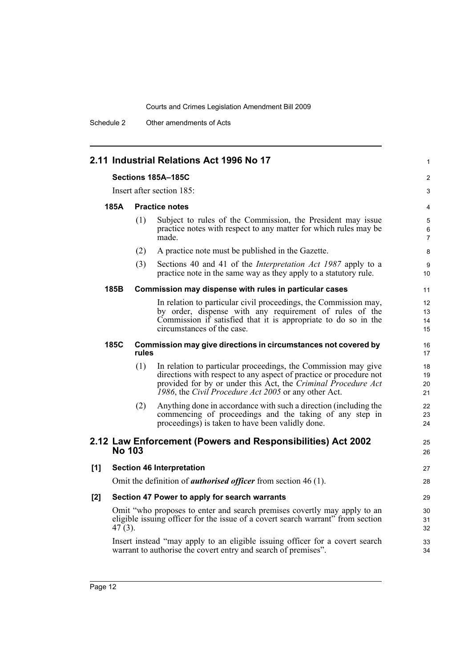Schedule 2 Other amendments of Acts

|     |                    |       | 2.11 Industrial Relations Act 1996 No 17                                                                                                                                                                                                                      | 1                        |
|-----|--------------------|-------|---------------------------------------------------------------------------------------------------------------------------------------------------------------------------------------------------------------------------------------------------------------|--------------------------|
|     | Sections 185A-185C |       |                                                                                                                                                                                                                                                               |                          |
|     |                    |       | Insert after section 185:                                                                                                                                                                                                                                     | 3                        |
|     | 185A               |       | <b>Practice notes</b>                                                                                                                                                                                                                                         | 4                        |
|     |                    | (1)   | Subject to rules of the Commission, the President may issue<br>practice notes with respect to any matter for which rules may be<br>made.                                                                                                                      | 5<br>6<br>$\overline{7}$ |
|     |                    | (2)   | A practice note must be published in the Gazette.                                                                                                                                                                                                             | 8                        |
|     |                    | (3)   | Sections 40 and 41 of the <i>Interpretation Act 1987</i> apply to a<br>practice note in the same way as they apply to a statutory rule.                                                                                                                       | 9<br>10                  |
|     | 185B               |       | Commission may dispense with rules in particular cases                                                                                                                                                                                                        | 11                       |
|     |                    |       | In relation to particular civil proceedings, the Commission may,<br>by order, dispense with any requirement of rules of the<br>Commission if satisfied that it is appropriate to do so in the<br>circumstances of the case.                                   | 12<br>13<br>14<br>15     |
|     | 185C               | rules | Commission may give directions in circumstances not covered by                                                                                                                                                                                                | 16<br>17                 |
|     |                    | (1)   | In relation to particular proceedings, the Commission may give<br>directions with respect to any aspect of practice or procedure not<br>provided for by or under this Act, the Criminal Procedure Act<br>1986, the Civil Procedure Act 2005 or any other Act. | 18<br>19<br>20<br>21     |
|     |                    | (2)   | Anything done in accordance with such a direction (including the<br>commencing of proceedings and the taking of any step in<br>proceedings) is taken to have been validly done.                                                                               | 22<br>23<br>24           |
|     | <b>No 103</b>      |       | 2.12 Law Enforcement (Powers and Responsibilities) Act 2002                                                                                                                                                                                                   | 25<br>26                 |
| [1] |                    |       | <b>Section 46 Interpretation</b>                                                                                                                                                                                                                              | 27                       |
|     |                    |       | Omit the definition of <i>authorised officer</i> from section 46 (1).                                                                                                                                                                                         | 28                       |
| [2] |                    |       | Section 47 Power to apply for search warrants                                                                                                                                                                                                                 | 29                       |
|     | $47(3)$ .          |       | Omit "who proposes to enter and search premises covertly may apply to an<br>eligible issuing officer for the issue of a covert search warrant" from section                                                                                                   | 30<br>31<br>32           |
|     |                    |       | Insert instead "may apply to an eligible issuing officer for a covert search<br>warrant to authorise the covert entry and search of premises".                                                                                                                | 33<br>34                 |